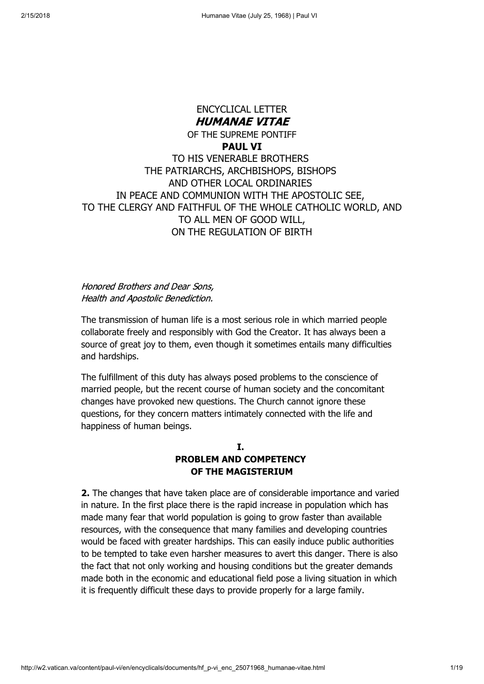# ENCYCLICAL LETTER HUMANAE VITAE OF THE SUPREME PONTIFF PAUL VI TO HIS VENERABLE BROTHERS THE PATRIARCHS, ARCHBISHOPS, BISHOPS AND OTHER LOCAL ORDINARIES IN PEACE AND COMMUNION WITH THE APOSTOLIC SEE, TO THE CLERGY AND FAITHFUL OF THE WHOLE CATHOLIC WORLD, AND TO ALL MEN OF GOOD WILL, ON THE REGULATION OF BIRTH

Honored Brothers and Dear Sons, Health and Apostolic Benediction.

The transmission of human life is a most serious role in which married people collaborate freely and responsibly with God the Creator. It has always been a source of great joy to them, even though it sometimes entails many difficulties and hardships.

The fulfillment of this duty has always posed problems to the conscience of married people, but the recent course of human society and the concomitant changes have provoked new questions. The Church cannot ignore these questions, for they concern matters intimately connected with the life and happiness of human beings.

# I. PROBLEM AND COMPETENCY OF THE MAGISTERIUM

2. The changes that have taken place are of considerable importance and varied in nature. In the first place there is the rapid increase in population which has made many fear that world population is going to grow faster than available resources, with the consequence that many families and developing countries would be faced with greater hardships. This can easily induce public authorities to be tempted to take even harsher measures to avert this danger. There is also the fact that not only working and housing conditions but the greater demands made both in the economic and educational field pose a living situation in which it is frequently difficult these days to provide properly for a large family.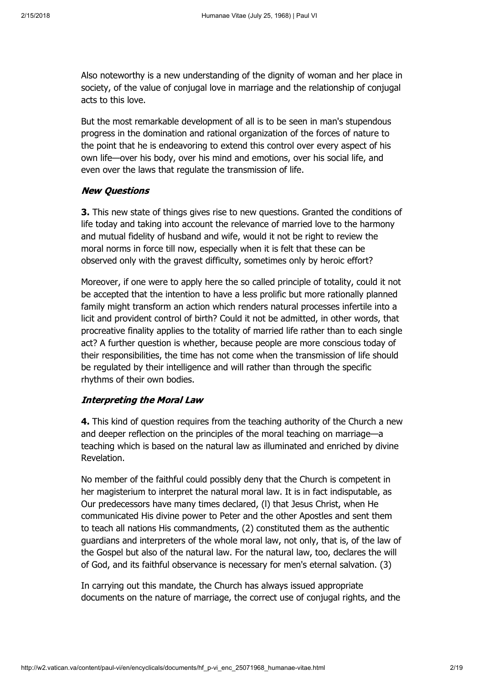Also noteworthy is a new understanding of the dignity of woman and her place in society, of the value of conjugal love in marriage and the relationship of conjugal acts to this love.

But the most remarkable development of all is to be seen in man's stupendous progress in the domination and rational organization of the forces of nature to the point that he is endeavoring to extend this control over every aspect of his own life—over his body, over his mind and emotions, over his social life, and even over the laws that regulate the transmission of life.

### New Questions

**3.** This new state of things gives rise to new questions. Granted the conditions of life today and taking into account the relevance of married love to the harmony and mutual fidelity of husband and wife, would it not be right to review the moral norms in force till now, especially when it is felt that these can be observed only with the gravest difficulty, sometimes only by heroic effort?

Moreover, if one were to apply here the so called principle of totality, could it not be accepted that the intention to have a less prolific but more rationally planned family might transform an action which renders natural processes infertile into a licit and provident control of birth? Could it not be admitted, in other words, that procreative finality applies to the totality of married life rather than to each single act? A further question is whether, because people are more conscious today of their responsibilities, the time has not come when the transmission of life should be regulated by their intelligence and will rather than through the specific rhythms of their own bodies.

#### Interpreting the Moral Law

**4.** This kind of question requires from the teaching authority of the Church a new and deeper reflection on the principles of the moral teaching on marriage—a teaching which is based on the natural law as illuminated and enriched by divine Revelation.

No member of the faithful could possibly deny that the Church is competent in her magisterium to interpret the natural moral law. It is in fact indisputable, as Our predecessors have many times declared, (l) that Jesus Christ, when He communicated His divine power to Peter and the other Apostles and sent them to teach all nations His commandments, (2) constituted them as the authentic guardians and interpreters of the whole moral law, not only, that is, of the law of the Gospel but also of the natural law. For the natural law, too, declares the will of God, and its faithful observance is necessary for men's eternal salvation. (3)

In carrying out this mandate, the Church has always issued appropriate documents on the nature of marriage, the correct use of conjugal rights, and the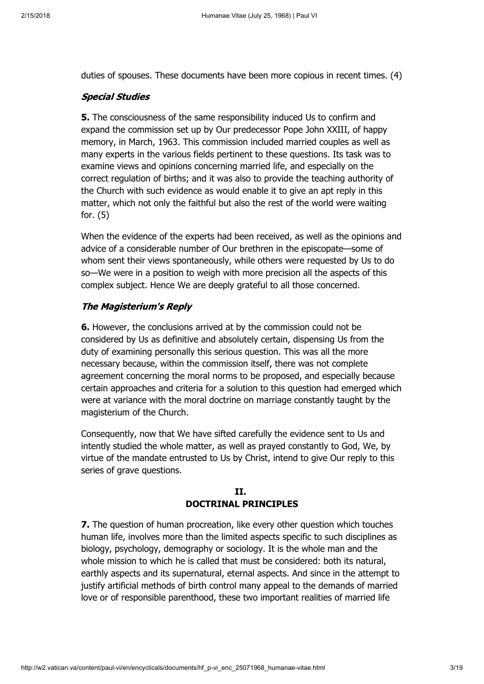duties of spouses. These documents have been more copious in recent times. (4)

### Special Studies

5. The consciousness of the same responsibility induced Us to confirm and expand the commission set up by Our predecessor Pope John XXIII, of happy memory, in March, 1963. This commission included married couples as well as many experts in the various fields pertinent to these questions. Its task was to examine views and opinions concerning married life, and especially on the correct regulation of births; and it was also to provide the teaching authority of the Church with such evidence as would enable it to give an apt reply in this matter, which not only the faithful but also the rest of the world were waiting for. (5)

When the evidence of the experts had been received, as well as the opinions and advice of a considerable number of Our brethren in the episcopate—some of whom sent their views spontaneously, while others were requested by Us to do so—We were in a position to weigh with more precision all the aspects of this complex subject. Hence We are deeply grateful to all those concerned.

### The Magisterium's Reply

6. However, the conclusions arrived at by the commission could not be considered by Us as definitive and absolutely certain, dispensing Us from the duty of examining personally this serious question. This was all the more necessary because, within the commission itself, there was not complete agreement concerning the moral norms to be proposed, and especially because certain approaches and criteria for a solution to this question had emerged which were at variance with the moral doctrine on marriage constantly taught by the magisterium of the Church.

Consequently, now that We have sifted carefully the evidence sent to Us and intently studied the whole matter, as well as prayed constantly to God, We, by virtue of the mandate entrusted to Us by Christ, intend to give Our reply to this series of grave questions.

### II. DOCTRINAL PRINCIPLES

**7.** The question of human procreation, like every other question which touches human life, involves more than the limited aspects specific to such disciplines as biology, psychology, demography or sociology. It is the whole man and the whole mission to which he is called that must be considered: both its natural, earthly aspects and its supernatural, eternal aspects. And since in the attempt to justify artificial methods of birth control many appeal to the demands of married love or of responsible parenthood, these two important realities of married life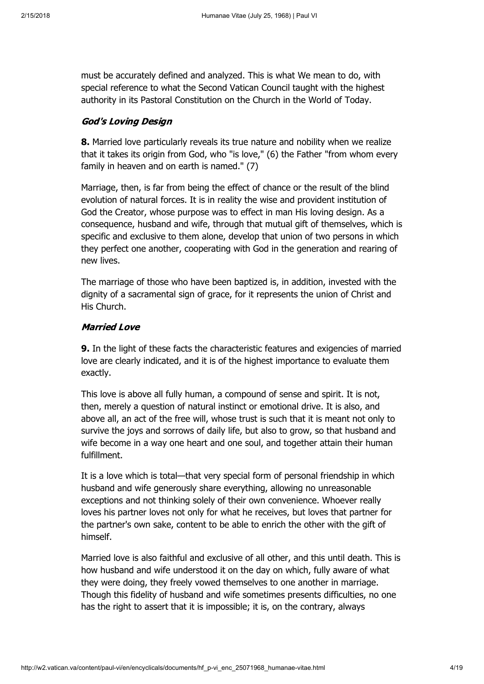must be accurately defined and analyzed. This is what We mean to do, with special reference to what the Second Vatican Council taught with the highest authority in its Pastoral Constitution on the Church in the World of Today.

# God's Loving Design

8. Married love particularly reveals its true nature and nobility when we realize that it takes its origin from God, who "is love," (6) the Father "from whom every family in heaven and on earth is named." (7)

Marriage, then, is far from being the effect of chance or the result of the blind evolution of natural forces. It is in reality the wise and provident institution of God the Creator, whose purpose was to effect in man His loving design. As a consequence, husband and wife, through that mutual gift of themselves, which is specific and exclusive to them alone, develop that union of two persons in which they perfect one another, cooperating with God in the generation and rearing of new lives.

The marriage of those who have been baptized is, in addition, invested with the dignity of a sacramental sign of grace, for it represents the union of Christ and His Church.

# Married Love

9. In the light of these facts the characteristic features and exigencies of married love are clearly indicated, and it is of the highest importance to evaluate them exactly.

This love is above all fully human, a compound of sense and spirit. It is not, then, merely a question of natural instinct or emotional drive. It is also, and above all, an act of the free will, whose trust is such that it is meant not only to survive the joys and sorrows of daily life, but also to grow, so that husband and wife become in a way one heart and one soul, and together attain their human fulfillment.

It is a love which is total—that very special form of personal friendship in which husband and wife generously share everything, allowing no unreasonable exceptions and not thinking solely of their own convenience. Whoever really loves his partner loves not only for what he receives, but loves that partner for the partner's own sake, content to be able to enrich the other with the gift of himself.

Married love is also faithful and exclusive of all other, and this until death. This is how husband and wife understood it on the day on which, fully aware of what they were doing, they freely vowed themselves to one another in marriage. Though this fidelity of husband and wife sometimes presents difficulties, no one has the right to assert that it is impossible; it is, on the contrary, always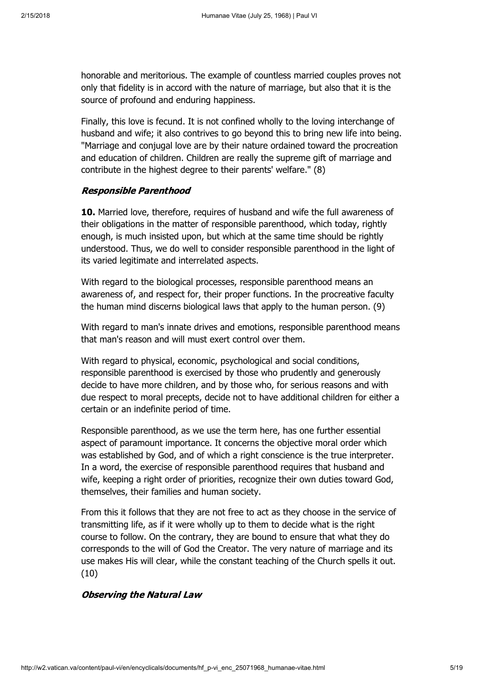honorable and meritorious. The example of countless married couples proves not only that fidelity is in accord with the nature of marriage, but also that it is the source of profound and enduring happiness.

Finally, this love is fecund. It is not confined wholly to the loving interchange of husband and wife; it also contrives to go beyond this to bring new life into being. "Marriage and conjugal love are by their nature ordained toward the procreation and education of children. Children are really the supreme gift of marriage and contribute in the highest degree to their parents' welfare." (8)

#### Responsible Parenthood

**10.** Married love, therefore, requires of husband and wife the full awareness of their obligations in the matter of responsible parenthood, which today, rightly enough, is much insisted upon, but which at the same time should be rightly understood. Thus, we do well to consider responsible parenthood in the light of its varied legitimate and interrelated aspects.

With regard to the biological processes, responsible parenthood means an awareness of, and respect for, their proper functions. In the procreative faculty the human mind discerns biological laws that apply to the human person. (9)

With regard to man's innate drives and emotions, responsible parenthood means that man's reason and will must exert control over them.

With regard to physical, economic, psychological and social conditions, responsible parenthood is exercised by those who prudently and generously decide to have more children, and by those who, for serious reasons and with due respect to moral precepts, decide not to have additional children for either a certain or an indefinite period of time.

Responsible parenthood, as we use the term here, has one further essential aspect of paramount importance. It concerns the objective moral order which was established by God, and of which a right conscience is the true interpreter. In a word, the exercise of responsible parenthood requires that husband and wife, keeping a right order of priorities, recognize their own duties toward God, themselves, their families and human society.

From this it follows that they are not free to act as they choose in the service of transmitting life, as if it were wholly up to them to decide what is the right course to follow. On the contrary, they are bound to ensure that what they do corresponds to the will of God the Creator. The very nature of marriage and its use makes His will clear, while the constant teaching of the Church spells it out. (10)

### Observing the Natural Law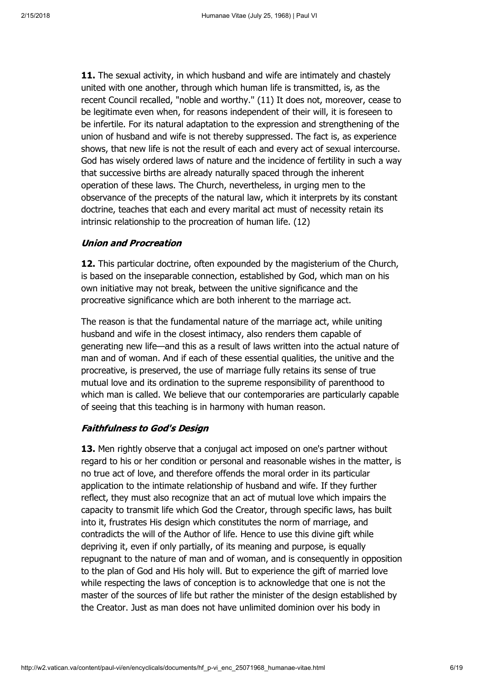11. The sexual activity, in which husband and wife are intimately and chastely united with one another, through which human life is transmitted, is, as the recent Council recalled, "noble and worthy.'' (11) It does not, moreover, cease to be legitimate even when, for reasons independent of their will, it is foreseen to be infertile. For its natural adaptation to the expression and strengthening of the union of husband and wife is not thereby suppressed. The fact is, as experience shows, that new life is not the result of each and every act of sexual intercourse. God has wisely ordered laws of nature and the incidence of fertility in such a way that successive births are already naturally spaced through the inherent operation of these laws. The Church, nevertheless, in urging men to the observance of the precepts of the natural law, which it interprets by its constant doctrine, teaches that each and every marital act must of necessity retain its intrinsic relationship to the procreation of human life. (12)

# Union and Procreation

12. This particular doctrine, often expounded by the magisterium of the Church, is based on the inseparable connection, established by God, which man on his own initiative may not break, between the unitive significance and the procreative significance which are both inherent to the marriage act.

The reason is that the fundamental nature of the marriage act, while uniting husband and wife in the closest intimacy, also renders them capable of generating new life—and this as a result of laws written into the actual nature of man and of woman. And if each of these essential qualities, the unitive and the procreative, is preserved, the use of marriage fully retains its sense of true mutual love and its ordination to the supreme responsibility of parenthood to which man is called. We believe that our contemporaries are particularly capable of seeing that this teaching is in harmony with human reason.

# Faithfulness to God's Design

**13.** Men rightly observe that a conjugal act imposed on one's partner without regard to his or her condition or personal and reasonable wishes in the matter, is no true act of love, and therefore offends the moral order in its particular application to the intimate relationship of husband and wife. If they further reflect, they must also recognize that an act of mutual love which impairs the capacity to transmit life which God the Creator, through specific laws, has built into it, frustrates His design which constitutes the norm of marriage, and contradicts the will of the Author of life. Hence to use this divine gift while depriving it, even if only partially, of its meaning and purpose, is equally repugnant to the nature of man and of woman, and is consequently in opposition to the plan of God and His holy will. But to experience the gift of married love while respecting the laws of conception is to acknowledge that one is not the master of the sources of life but rather the minister of the design established by the Creator. Just as man does not have unlimited dominion over his body in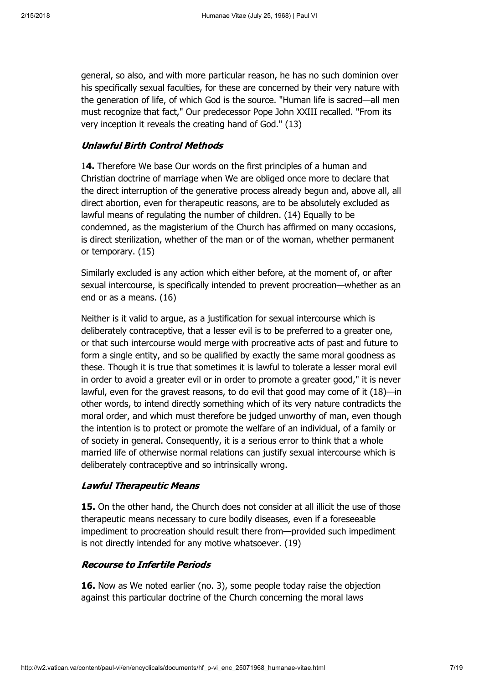general, so also, and with more particular reason, he has no such dominion over his specifically sexual faculties, for these are concerned by their very nature with the generation of life, of which God is the source. "Human life is sacred—all men must recognize that fact," Our predecessor Pope John XXIII recalled. "From its very inception it reveals the creating hand of God." (13)

# Unlawful Birth Control Methods

14. Therefore We base Our words on the first principles of a human and Christian doctrine of marriage when We are obliged once more to declare that the direct interruption of the generative process already begun and, above all, all direct abortion, even for therapeutic reasons, are to be absolutely excluded as lawful means of regulating the number of children. (14) Equally to be condemned, as the magisterium of the Church has affirmed on many occasions, is direct sterilization, whether of the man or of the woman, whether permanent or temporary. (15)

Similarly excluded is any action which either before, at the moment of, or after sexual intercourse, is specifically intended to prevent procreation—whether as an end or as a means. (16)

Neither is it valid to argue, as a justification for sexual intercourse which is deliberately contraceptive, that a lesser evil is to be preferred to a greater one, or that such intercourse would merge with procreative acts of past and future to form a single entity, and so be qualified by exactly the same moral goodness as these. Though it is true that sometimes it is lawful to tolerate a lesser moral evil in order to avoid a greater evil or in order to promote a greater good," it is never lawful, even for the gravest reasons, to do evil that good may come of it (18)—in other words, to intend directly something which of its very nature contradicts the moral order, and which must therefore be judged unworthy of man, even though the intention is to protect or promote the welfare of an individual, of a family or of society in general. Consequently, it is a serious error to think that a whole married life of otherwise normal relations can justify sexual intercourse which is deliberately contraceptive and so intrinsically wrong.

# Lawful Therapeutic Means

**15.** On the other hand, the Church does not consider at all illicit the use of those therapeutic means necessary to cure bodily diseases, even if a foreseeable impediment to procreation should result there from—provided such impediment is not directly intended for any motive whatsoever. (19)

# Recourse to Infertile Periods

16. Now as We noted earlier (no. 3), some people today raise the objection against this particular doctrine of the Church concerning the moral laws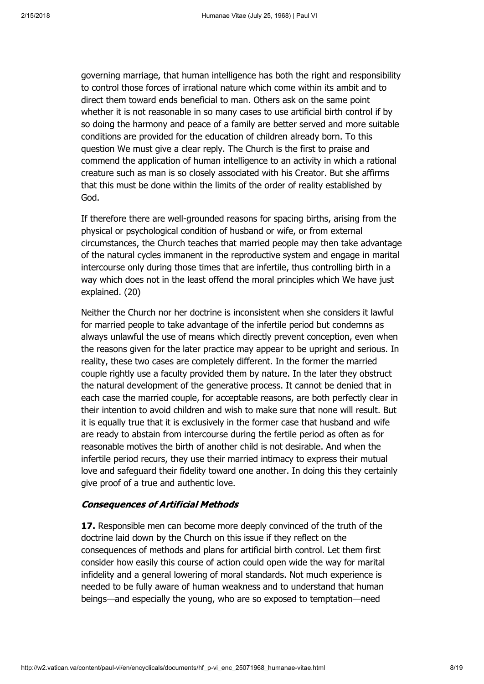governing marriage, that human intelligence has both the right and responsibility to control those forces of irrational nature which come within its ambit and to direct them toward ends beneficial to man. Others ask on the same point whether it is not reasonable in so many cases to use artificial birth control if by so doing the harmony and peace of a family are better served and more suitable conditions are provided for the education of children already born. To this question We must give a clear reply. The Church is the first to praise and commend the application of human intelligence to an activity in which a rational creature such as man is so closely associated with his Creator. But she affirms that this must be done within the limits of the order of reality established by God.

If therefore there are well-grounded reasons for spacing births, arising from the physical or psychological condition of husband or wife, or from external circumstances, the Church teaches that married people may then take advantage of the natural cycles immanent in the reproductive system and engage in marital intercourse only during those times that are infertile, thus controlling birth in a way which does not in the least offend the moral principles which We have just explained. (20)

Neither the Church nor her doctrine is inconsistent when she considers it lawful for married people to take advantage of the infertile period but condemns as always unlawful the use of means which directly prevent conception, even when the reasons given for the later practice may appear to be upright and serious. In reality, these two cases are completely different. In the former the married couple rightly use a faculty provided them by nature. In the later they obstruct the natural development of the generative process. It cannot be denied that in each case the married couple, for acceptable reasons, are both perfectly clear in their intention to avoid children and wish to make sure that none will result. But it is equally true that it is exclusively in the former case that husband and wife are ready to abstain from intercourse during the fertile period as often as for reasonable motives the birth of another child is not desirable. And when the infertile period recurs, they use their married intimacy to express their mutual love and safeguard their fidelity toward one another. In doing this they certainly give proof of a true and authentic love.

### Consequences of Artificial Methods

17. Responsible men can become more deeply convinced of the truth of the doctrine laid down by the Church on this issue if they reflect on the consequences of methods and plans for artificial birth control. Let them first consider how easily this course of action could open wide the way for marital infidelity and a general lowering of moral standards. Not much experience is needed to be fully aware of human weakness and to understand that human beings—and especially the young, who are so exposed to temptation—need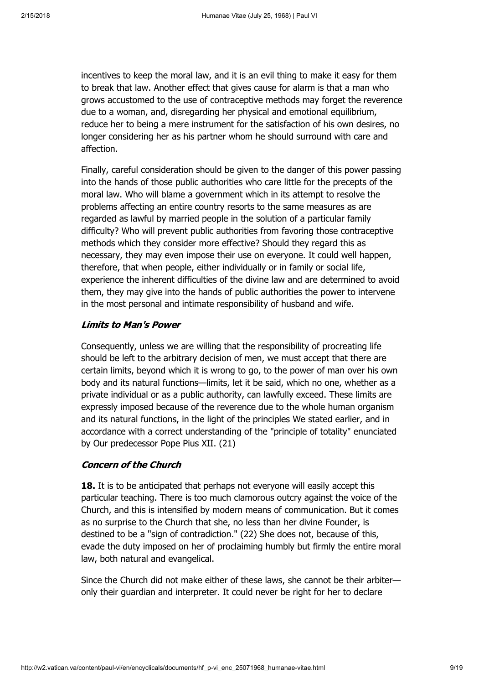incentives to keep the moral law, and it is an evil thing to make it easy for them to break that law. Another effect that gives cause for alarm is that a man who grows accustomed to the use of contraceptive methods may forget the reverence due to a woman, and, disregarding her physical and emotional equilibrium, reduce her to being a mere instrument for the satisfaction of his own desires, no longer considering her as his partner whom he should surround with care and affection.

Finally, careful consideration should be given to the danger of this power passing into the hands of those public authorities who care little for the precepts of the moral law. Who will blame a government which in its attempt to resolve the problems affecting an entire country resorts to the same measures as are regarded as lawful by married people in the solution of a particular family difficulty? Who will prevent public authorities from favoring those contraceptive methods which they consider more effective? Should they regard this as necessary, they may even impose their use on everyone. It could well happen, therefore, that when people, either individually or in family or social life, experience the inherent difficulties of the divine law and are determined to avoid them, they may give into the hands of public authorities the power to intervene in the most personal and intimate responsibility of husband and wife.

### Limits to Man's Power

Consequently, unless we are willing that the responsibility of procreating life should be left to the arbitrary decision of men, we must accept that there are certain limits, beyond which it is wrong to go, to the power of man over his own body and its natural functions—limits, let it be said, which no one, whether as a private individual or as a public authority, can lawfully exceed. These limits are expressly imposed because of the reverence due to the whole human organism and its natural functions, in the light of the principles We stated earlier, and in accordance with a correct understanding of the "principle of totality" enunciated by Our predecessor Pope Pius XII. (21)

### Concern of the Church

18. It is to be anticipated that perhaps not everyone will easily accept this particular teaching. There is too much clamorous outcry against the voice of the Church, and this is intensified by modern means of communication. But it comes as no surprise to the Church that she, no less than her divine Founder, is destined to be a "sign of contradiction." (22) She does not, because of this, evade the duty imposed on her of proclaiming humbly but firmly the entire moral law, both natural and evangelical.

Since the Church did not make either of these laws, she cannot be their arbiter only their guardian and interpreter. It could never be right for her to declare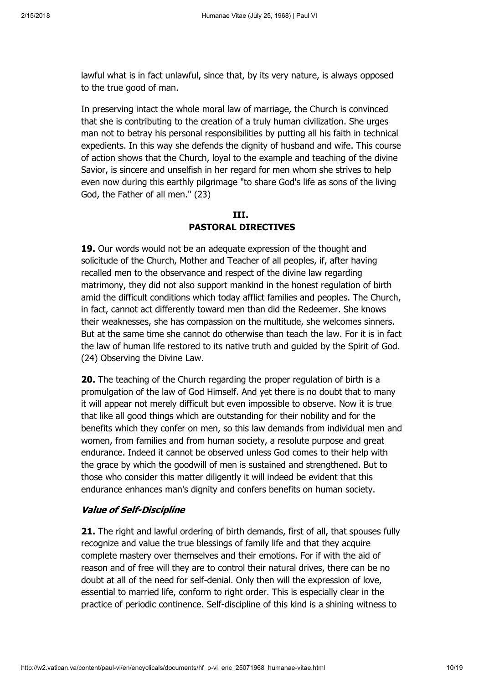lawful what is in fact unlawful, since that, by its very nature, is always opposed to the true good of man.

In preserving intact the whole moral law of marriage, the Church is convinced that she is contributing to the creation of a truly human civilization. She urges man not to betray his personal responsibilities by putting all his faith in technical expedients. In this way she defends the dignity of husband and wife. This course of action shows that the Church, loyal to the example and teaching of the divine Savior, is sincere and unselfish in her regard for men whom she strives to help even now during this earthly pilgrimage "to share God's life as sons of the living God, the Father of all men." (23)

# III. PASTORAL DIRECTIVES

19. Our words would not be an adequate expression of the thought and solicitude of the Church, Mother and Teacher of all peoples, if, after having recalled men to the observance and respect of the divine law regarding matrimony, they did not also support mankind in the honest regulation of birth amid the difficult conditions which today afflict families and peoples. The Church, in fact, cannot act differently toward men than did the Redeemer. She knows their weaknesses, she has compassion on the multitude, she welcomes sinners. But at the same time she cannot do otherwise than teach the law. For it is in fact the law of human life restored to its native truth and guided by the Spirit of God. (24) Observing the Divine Law.

20. The teaching of the Church regarding the proper regulation of birth is a promulgation of the law of God Himself. And yet there is no doubt that to many it will appear not merely difficult but even impossible to observe. Now it is true that like all good things which are outstanding for their nobility and for the benefits which they confer on men, so this law demands from individual men and women, from families and from human society, a resolute purpose and great endurance. Indeed it cannot be observed unless God comes to their help with the grace by which the goodwill of men is sustained and strengthened. But to those who consider this matter diligently it will indeed be evident that this endurance enhances man's dignity and confers benefits on human society.

### Value of Self-Discipline

21. The right and lawful ordering of birth demands, first of all, that spouses fully recognize and value the true blessings of family life and that they acquire complete mastery over themselves and their emotions. For if with the aid of reason and of free will they are to control their natural drives, there can be no doubt at all of the need for self-denial. Only then will the expression of love, essential to married life, conform to right order. This is especially clear in the practice of periodic continence. Self-discipline of this kind is a shining witness to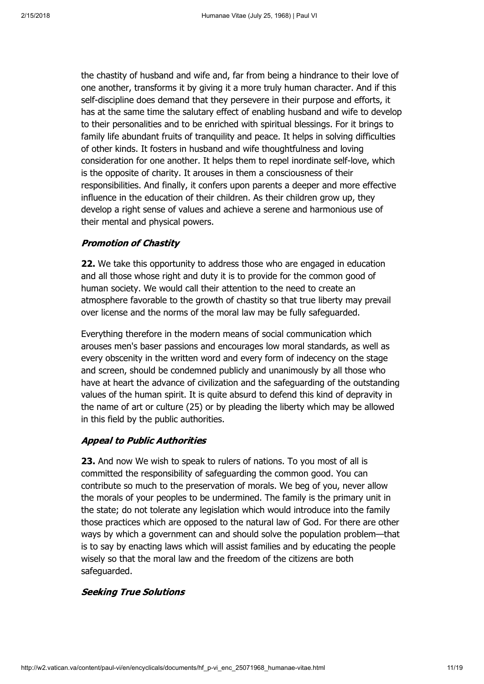the chastity of husband and wife and, far from being a hindrance to their love of one another, transforms it by giving it a more truly human character. And if this self-discipline does demand that they persevere in their purpose and efforts, it has at the same time the salutary effect of enabling husband and wife to develop to their personalities and to be enriched with spiritual blessings. For it brings to family life abundant fruits of tranquility and peace. It helps in solving difficulties of other kinds. It fosters in husband and wife thoughtfulness and loving consideration for one another. It helps them to repel inordinate self-love, which is the opposite of charity. It arouses in them a consciousness of their responsibilities. And finally, it confers upon parents a deeper and more effective influence in the education of their children. As their children grow up, they develop a right sense of values and achieve a serene and harmonious use of their mental and physical powers.

# Promotion of Chastity

22. We take this opportunity to address those who are engaged in education and all those whose right and duty it is to provide for the common good of human society. We would call their attention to the need to create an atmosphere favorable to the growth of chastity so that true liberty may prevail over license and the norms of the moral law may be fully safeguarded.

Everything therefore in the modern means of social communication which arouses men's baser passions and encourages low moral standards, as well as every obscenity in the written word and every form of indecency on the stage and screen, should be condemned publicly and unanimously by all those who have at heart the advance of civilization and the safeguarding of the outstanding values of the human spirit. It is quite absurd to defend this kind of depravity in the name of art or culture (25) or by pleading the liberty which may be allowed in this field by the public authorities.

# Appeal to Public Authorities

23. And now We wish to speak to rulers of nations. To you most of all is committed the responsibility of safeguarding the common good. You can contribute so much to the preservation of morals. We beg of you, never allow the morals of your peoples to be undermined. The family is the primary unit in the state; do not tolerate any legislation which would introduce into the family those practices which are opposed to the natural law of God. For there are other ways by which a government can and should solve the population problem—that is to say by enacting laws which will assist families and by educating the people wisely so that the moral law and the freedom of the citizens are both safeguarded.

# Seeking True Solutions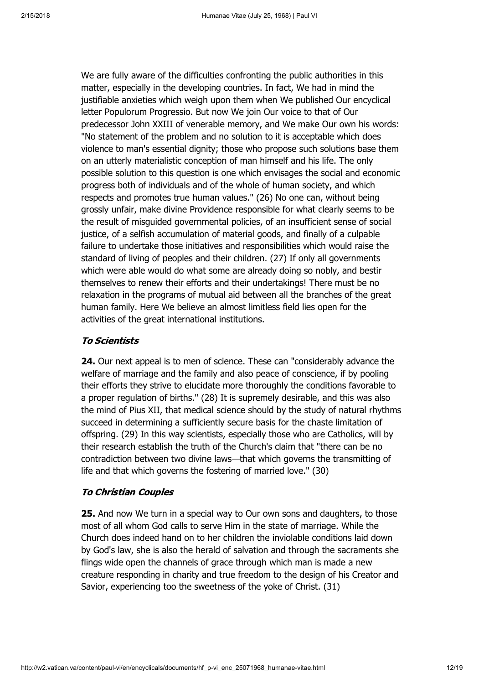We are fully aware of the difficulties confronting the public authorities in this matter, especially in the developing countries. In fact, We had in mind the justifiable anxieties which weigh upon them when We published Our encyclical letter [Populorum](http://w2.vatican.va/content/paul-vi/en/encyclicals/documents/hf_p-vi_enc_26031967_populorum.html) Progressio. But now We join Our voice to that of Our predecessor John XXIII of venerable memory, and We make Our own his words: "No statement of the problem and no solution to it is acceptable which does violence to man's essential dignity; those who propose such solutions base them on an utterly materialistic conception of man himself and his life. The only possible solution to this question is one which envisages the social and economic progress both of individuals and of the whole of human society, and which respects and promotes true human values." (26) No one can, without being grossly unfair, make divine Providence responsible for what clearly seems to be the result of misguided governmental policies, of an insufficient sense of social justice, of a selfish accumulation of material goods, and finally of a culpable failure to undertake those initiatives and responsibilities which would raise the standard of living of peoples and their children. (27) If only all governments which were able would do what some are already doing so nobly, and bestir themselves to renew their efforts and their undertakings! There must be no relaxation in the programs of mutual aid between all the branches of the great human family. Here We believe an almost limitless field lies open for the activities of the great international institutions.

# To Scientists

24. Our next appeal is to men of science. These can "considerably advance the welfare of marriage and the family and also peace of conscience, if by pooling their efforts they strive to elucidate more thoroughly the conditions favorable to a proper regulation of births." (28) It is supremely desirable, and this was also the mind of Pius XII, that medical science should by the study of natural rhythms succeed in determining a sufficiently secure basis for the chaste limitation of offspring. (29) In this way scientists, especially those who are Catholics, will by their research establish the truth of the Church's claim that "there can be no contradiction between two divine laws—that which governs the transmitting of life and that which governs the fostering of married love." (30)

# To Christian Couples

**25.** And now We turn in a special way to Our own sons and daughters, to those most of all whom God calls to serve Him in the state of marriage. While the Church does indeed hand on to her children the inviolable conditions laid down by God's law, she is also the herald of salvation and through the sacraments she flings wide open the channels of grace through which man is made a new creature responding in charity and true freedom to the design of his Creator and Savior, experiencing too the sweetness of the yoke of Christ. (31)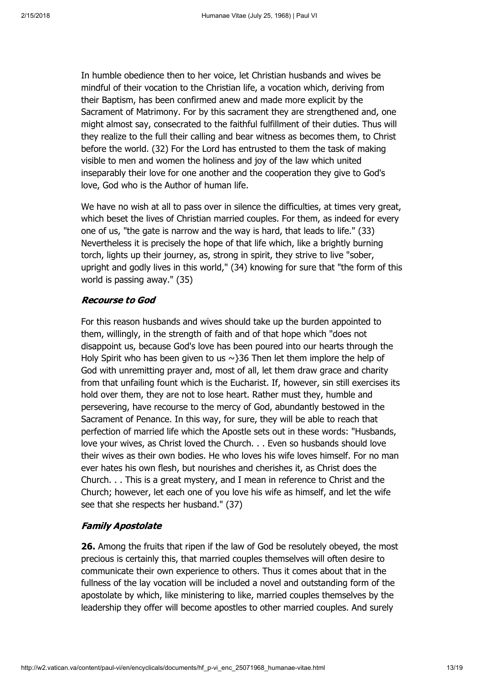In humble obedience then to her voice, let Christian husbands and wives be mindful of their vocation to the Christian life, a vocation which, deriving from their Baptism, has been confirmed anew and made more explicit by the Sacrament of Matrimony. For by this sacrament they are strengthened and, one might almost say, consecrated to the faithful fulfillment of their duties. Thus will they realize to the full their calling and bear witness as becomes them, to Christ before the world. (32) For the Lord has entrusted to them the task of making visible to men and women the holiness and joy of the law which united inseparably their love for one another and the cooperation they give to God's love, God who is the Author of human life.

We have no wish at all to pass over in silence the difficulties, at times very great, which beset the lives of Christian married couples. For them, as indeed for every one of us, "the gate is narrow and the way is hard, that leads to life." (33) Nevertheless it is precisely the hope of that life which, like a brightly burning torch, lights up their journey, as, strong in spirit, they strive to live "sober, upright and godly lives in this world," (34) knowing for sure that "the form of this world is passing away." (35)

#### Recourse to God

For this reason husbands and wives should take up the burden appointed to them, willingly, in the strength of faith and of that hope which "does not disappoint us, because God's love has been poured into our hearts through the Holy Spirit who has been given to us  $\sim$ }36 Then let them implore the help of God with unremitting prayer and, most of all, let them draw grace and charity from that unfailing fount which is the Eucharist. If, however, sin still exercises its hold over them, they are not to lose heart. Rather must they, humble and persevering, have recourse to the mercy of God, abundantly bestowed in the Sacrament of Penance. In this way, for sure, they will be able to reach that perfection of married life which the Apostle sets out in these words: "Husbands, love your wives, as Christ loved the Church. . . Even so husbands should love their wives as their own bodies. He who loves his wife loves himself. For no man ever hates his own flesh, but nourishes and cherishes it, as Christ does the Church. . . This is a great mystery, and I mean in reference to Christ and the Church; however, let each one of you love his wife as himself, and let the wife see that she respects her husband." (37)

### Family Apostolate

26. Among the fruits that ripen if the law of God be resolutely obeyed, the most precious is certainly this, that married couples themselves will often desire to communicate their own experience to others. Thus it comes about that in the fullness of the lay vocation will be included a novel and outstanding form of the apostolate by which, like ministering to like, married couples themselves by the leadership they offer will become apostles to other married couples. And surely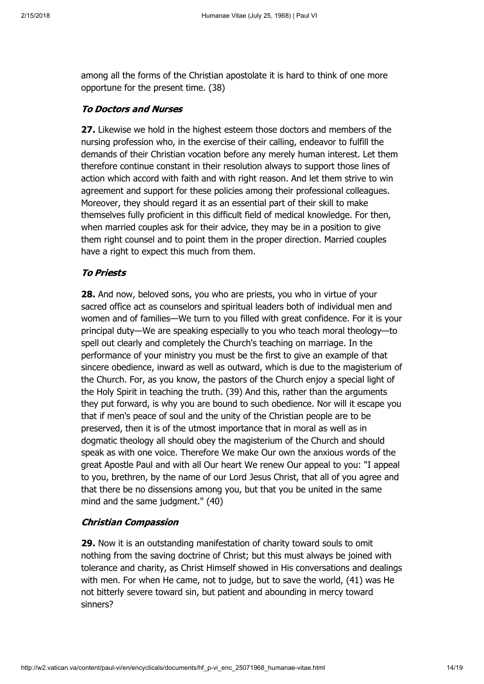among all the forms of the Christian apostolate it is hard to think of one more opportune for the present time. (38)

# To Doctors and Nurses

27. Likewise we hold in the highest esteem those doctors and members of the nursing profession who, in the exercise of their calling, endeavor to fulfill the demands of their Christian vocation before any merely human interest. Let them therefore continue constant in their resolution always to support those lines of action which accord with faith and with right reason. And let them strive to win agreement and support for these policies among their professional colleagues. Moreover, they should regard it as an essential part of their skill to make themselves fully proficient in this difficult field of medical knowledge. For then, when married couples ask for their advice, they may be in a position to give them right counsel and to point them in the proper direction. Married couples have a right to expect this much from them.

# To Priests

28. And now, beloved sons, you who are priests, you who in virtue of your sacred office act as counselors and spiritual leaders both of individual men and women and of families—We turn to you filled with great confidence. For it is your principal duty—We are speaking especially to you who teach moral theology—to spell out clearly and completely the Church's teaching on marriage. In the performance of your ministry you must be the first to give an example of that sincere obedience, inward as well as outward, which is due to the magisterium of the Church. For, as you know, the pastors of the Church enjoy a special light of the Holy Spirit in teaching the truth. (39) And this, rather than the arguments they put forward, is why you are bound to such obedience. Nor will it escape you that if men's peace of soul and the unity of the Christian people are to be preserved, then it is of the utmost importance that in moral as well as in dogmatic theology all should obey the magisterium of the Church and should speak as with one voice. Therefore We make Our own the anxious words of the great Apostle Paul and with all Our heart We renew Our appeal to you: "I appeal to you, brethren, by the name of our Lord Jesus Christ, that all of you agree and that there be no dissensions among you, but that you be united in the same mind and the same judgment." (40)

# Christian Compassion

29. Now it is an outstanding manifestation of charity toward souls to omit nothing from the saving doctrine of Christ; but this must always be joined with tolerance and charity, as Christ Himself showed in His conversations and dealings with men. For when He came, not to judge, but to save the world, (41) was He not bitterly severe toward sin, but patient and abounding in mercy toward sinners?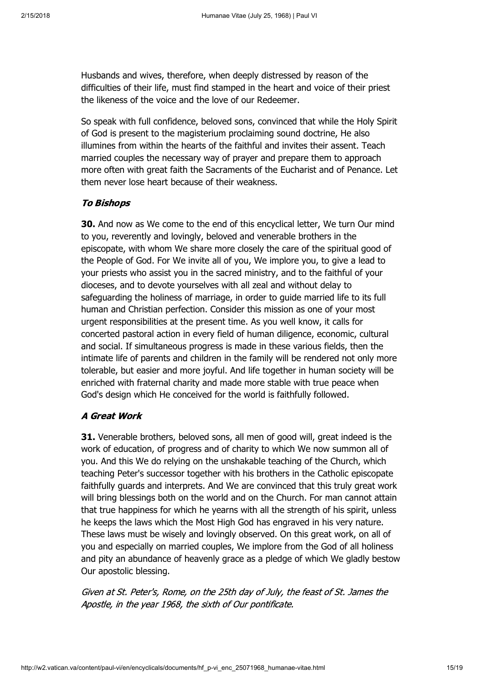Husbands and wives, therefore, when deeply distressed by reason of the difficulties of their life, must find stamped in the heart and voice of their priest the likeness of the voice and the love of our Redeemer.

So speak with full confidence, beloved sons, convinced that while the Holy Spirit of God is present to the magisterium proclaiming sound doctrine, He also illumines from within the hearts of the faithful and invites their assent. Teach married couples the necessary way of prayer and prepare them to approach more often with great faith the Sacraments of the Eucharist and of Penance. Let them never lose heart because of their weakness.

#### To Bishops

30. And now as We come to the end of this encyclical letter, We turn Our mind to you, reverently and lovingly, beloved and venerable brothers in the episcopate, with whom We share more closely the care of the spiritual good of the People of God. For We invite all of you, We implore you, to give a lead to your priests who assist you in the sacred ministry, and to the faithful of your dioceses, and to devote yourselves with all zeal and without delay to safeguarding the holiness of marriage, in order to guide married life to its full human and Christian perfection. Consider this mission as one of your most urgent responsibilities at the present time. As you well know, it calls for concerted pastoral action in every field of human diligence, economic, cultural and social. If simultaneous progress is made in these various fields, then the intimate life of parents and children in the family will be rendered not only more tolerable, but easier and more joyful. And life together in human society will be enriched with fraternal charity and made more stable with true peace when God's design which He conceived for the world is faithfully followed.

#### A Great Work

**31.** Venerable brothers, beloved sons, all men of good will, great indeed is the work of education, of progress and of charity to which We now summon all of you. And this We do relying on the unshakable teaching of the Church, which teaching Peter's successor together with his brothers in the Catholic episcopate faithfully guards and interprets. And We are convinced that this truly great work will bring blessings both on the world and on the Church. For man cannot attain that true happiness for which he yearns with all the strength of his spirit, unless he keeps the laws which the Most High God has engraved in his very nature. These laws must be wisely and lovingly observed. On this great work, on all of you and especially on married couples, We implore from the God of all holiness and pity an abundance of heavenly grace as a pledge of which We gladly bestow Our apostolic blessing.

Given at St. Peter's, Rome, on the 25th day of July, the feast of St. James the Apostle, in the year 1968, the sixth of Our pontificate.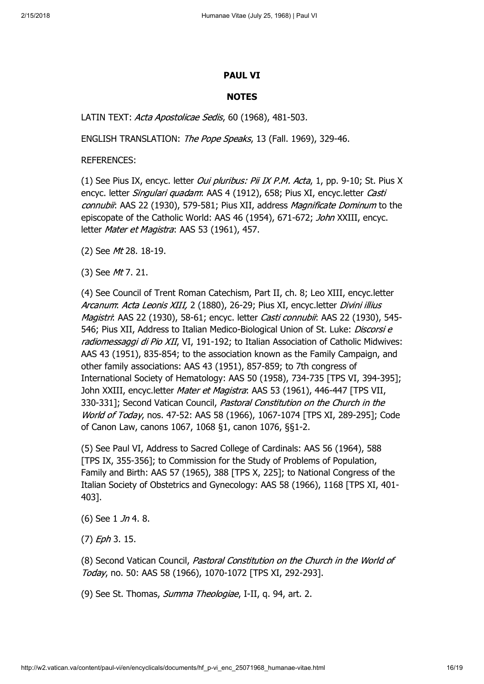### PAUL VI

### **NOTES**

LATIN TEXT: Acta Apostolicae Sedis, 60 (1968), 481-503.

ENGLISH TRANSLATION: The Pope Speaks, 13 (Fall. 1969), 329-46.

REFERENCES:

(1) See Pius IX, encyc. letter Oui pluribus: Pii IX P.M. Acta, 1, pp. 9-10; St. Pius X encyc. letter *Singulari quadam*: AAS 4 (1912), 658; Pius XI, encyc.letter *Casti* connubii: AAS 22 (1930), 579-581; Pius XII, address Magnificate Dominum to the episcopate of the Catholic World: AAS 46 (1954), 671-672; John XXIII, encyc. letter Mater et Magistra: AAS 53 (1961), 457.

(2) See Mt 28. 18-19.

(3) See Mt 7. 21.

(4) See Council of Trent Roman Catechism, Part II, ch. 8; Leo XIII, encyc.letter Arcanum: Acta Leonis XIII, 2 (1880), 26-29; Pius XI, encyc.letter Divini illius Magistri: AAS 22 (1930), 58-61; encyc. letter Casti connubii: AAS 22 (1930), 545-546; Pius XII, Address to Italian Medico-Biological Union of St. Luke: Discorsi e radiomessaggi di Pio XII, VI, 191-192; to Italian Association of Catholic Midwives: AAS 43 (1951), 835-854; to the association known as the Family Campaign, and other family associations: AAS 43 (1951), 857-859; to 7th congress of International Society of Hematology: AAS 50 (1958), 734-735 [TPS VI, 394-395]; John XXIII, encyc.letter Mater et Magistra: AAS 53 (1961), 446-447 [TPS VII, 330-331]; Second Vatican Council, Pastoral Constitution on the Church in the World of Today, nos. 47-52: AAS 58 (1966), 1067-1074 [TPS XI, 289-295]; Code of Canon Law, canons 1067, 1068 §1, canon 1076, §§1-2.

(5) See Paul VI, Address to Sacred College of Cardinals: AAS 56 (1964), 588 [TPS IX, 355-356]; to Commission for the Study of Problems of Population, Family and Birth: AAS 57 (1965), 388 [TPS X, 225]; to National Congress of the Italian Society of Obstetrics and Gynecology: AAS 58 (1966), 1168 [TPS XI, 401- 403].

(6) See  $1$  Jn 4.8.

(7) Eph 3. 15.

(8) Second Vatican Council, Pastoral Constitution on the Church in the World of Today, no. 50: AAS 58 (1966), 1070-1072 [TPS XI, 292-293].

(9) See St. Thomas, *Summa Theologiae*, I-II, q. 94, art. 2.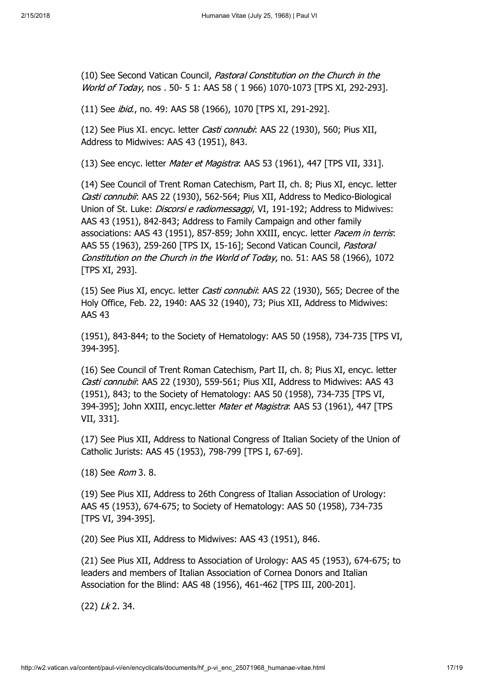(10) See Second Vatican Council, Pastoral Constitution on the Church in the World of Today, nos . 50- 5 1: AAS 58 ( 1 966) 1070-1073 [TPS XI, 292-293].

(11) See ibid., no. 49: AAS 58 (1966), 1070 [TPS XI, 291-292].

(12) See Pius XI. encyc. letter *Casti connubi*: AAS 22 (1930), 560; Pius XII, Address to Midwives: AAS 43 (1951), 843.

(13) See encyc. letter Mater et Magistra: AAS 53 (1961), 447 [TPS VII, 331].

(14) See Council of Trent Roman Catechism, Part II, ch. 8; Pius XI, encyc. letter Casti connubii: AAS 22 (1930), 562-564; Pius XII, Address to Medico-Biological Union of St. Luke: *Discorsi e radiomessaggi*, VI, 191-192; Address to Midwives: AAS 43 (1951), 842-843; Address to Family Campaign and other family associations: AAS 43 (1951), 857-859; John XXIII, encyc. letter Pacem in terris. AAS 55 (1963), 259-260 [TPS IX, 15-16]; Second Vatican Council, Pastoral Constitution on the Church in the World of Today, no. 51: AAS 58 (1966), 1072 [TPS XI, 293].

(15) See Pius XI, encyc. letter *Casti connubii*: AAS 22 (1930), 565; Decree of the Holy Office, Feb. 22, 1940: AAS 32 (1940), 73; Pius XII, Address to Midwives: AAS 43

(1951), 843-844; to the Society of Hematology: AAS 50 (1958), 734-735 [TPS VI, 394-395].

(16) See Council of Trent Roman Catechism, Part II, ch. 8; Pius XI, encyc. letter Casti connubii: AAS 22 (1930), 559-561; Pius XII, Address to Midwives: AAS 43 (1951), 843; to the Society of Hematology: AAS 50 (1958), 734-735 [TPS VI, 394-395]; John XXIII, encyc.letter Mater et Magistra: AAS 53 (1961), 447 [TPS VII, 331].

(17) See Pius XII, Address to National Congress of Italian Society of the Union of Catholic Jurists: AAS 45 (1953), 798-799 [TPS I, 67-69].

(18) See Rom 3. 8.

(19) See Pius XII, Address to 26th Congress of Italian Association of Urology: AAS 45 (1953), 674-675; to Society of Hematology: AAS 50 (1958), 734-735 [TPS VI, 394-395].

(20) See Pius XII, Address to Midwives: AAS 43 (1951), 846.

(21) See Pius XII, Address to Association of Urology: AAS 45 (1953), 674-675; to leaders and members of Italian Association of Cornea Donors and Italian Association for the Blind: AAS 48 (1956), 461-462 [TPS III, 200-201].

(22) Lk 2. 34.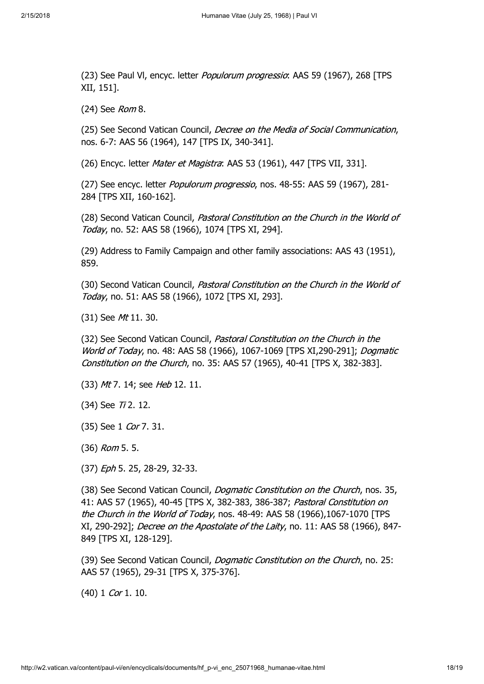(23) See Paul VI, encyc. letter Populorum progressio: AAS 59 (1967), 268 [TPS XII, 151].

(24) See Rom 8.

(25) See Second Vatican Council, Decree on the Media of Social Communication, nos. 6-7: AAS 56 (1964), 147 [TPS IX, 340-341].

(26) Encyc. letter *Mater et Magistra*: AAS 53 (1961), 447 [TPS VII, 331].

(27) See encyc. letter Populorum progressio, nos. 48-55: AAS 59 (1967), 281- 284 [TPS XII, 160-162].

(28) Second Vatican Council, Pastoral Constitution on the Church in the World of Today, no. 52: AAS 58 (1966), 1074 [TPS XI, 294].

(29) Address to Family Campaign and other family associations: AAS 43 (1951), 859.

(30) Second Vatican Council, Pastoral Constitution on the Church in the World of Today, no. 51: AAS 58 (1966), 1072 [TPS XI, 293].

 $(31)$  See *Mt* 11, 30.

(32) See Second Vatican Council, Pastoral Constitution on the Church in the World of Today, no. 48: AAS 58 (1966), 1067-1069 [TPS XI,290-291]; Dogmatic Constitution on the Church, no. 35: AAS 57 (1965), 40-41 [TPS X, 382-383].

(33) Mt 7. 14; see Heb 12. 11.

(34) See Ti 2. 12.

(35) See 1 Cor 7. 31.

(36) Rom 5. 5.

(37) Eph 5. 25, 28-29, 32-33.

(38) See Second Vatican Council, *Dogmatic Constitution on the Church*, nos. 35, 41: AAS 57 (1965), 40-45 [TPS X, 382-383, 386-387; Pastoral Constitution on the Church in the World of Today, nos. 48-49: AAS 58 (1966),1067-1070 [TPS XI, 290-292]; Decree on the Apostolate of the Laity, no. 11: AAS 58 (1966), 847-849 [TPS XI, 128-129].

(39) See Second Vatican Council, Dogmatic Constitution on the Church, no. 25: AAS 57 (1965), 29-31 [TPS X, 375-376].

(40) 1 *Cor* 1. 10.